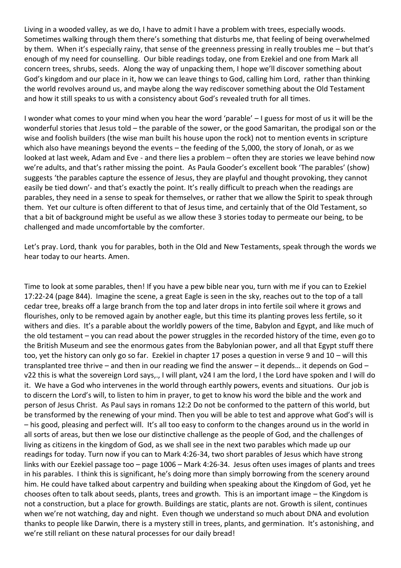Living in a wooded valley, as we do, I have to admit I have a problem with trees, especially woods. Sometimes walking through them there's something that disturbs me, that feeling of being overwhelmed by them. When it's especially rainy, that sense of the greenness pressing in really troubles me – but that's enough of my need for counselling. Our bible readings today, one from Ezekiel and one from Mark all concern trees, shrubs, seeds. Along the way of unpacking them, I hope we'll discover something about God's kingdom and our place in it, how we can leave things to God, calling him Lord, rather than thinking the world revolves around us, and maybe along the way rediscover something about the Old Testament and how it still speaks to us with a consistency about God's revealed truth for all times.

I wonder what comes to your mind when you hear the word 'parable' – I guess for most of us it will be the wonderful stories that Jesus told – the parable of the sower, or the good Samaritan, the prodigal son or the wise and foolish builders (the wise man built his house upon the rock) not to mention events in scripture which also have meanings beyond the events – the feeding of the 5,000, the story of Jonah, or as we looked at last week, Adam and Eve - and there lies a problem – often they are stories we leave behind now we're adults, and that's rather missing the point. As Paula Gooder's excellent book 'The parables' (show) suggests 'the parables capture the essence of Jesus, they are playful and thought provoking, they cannot easily be tied down'- and that's exactly the point. It's really difficult to preach when the readings are parables, they need in a sense to speak for themselves, or rather that we allow the Spirit to speak through them. Yet our culture is often different to that of Jesus time, and certainly that of the Old Testament, so that a bit of background might be useful as we allow these 3 stories today to permeate our being, to be challenged and made uncomfortable by the comforter.

Let's pray. Lord, thank you for parables, both in the Old and New Testaments, speak through the words we hear today to our hearts. Amen.

Time to look at some parables, then! If you have a pew bible near you, turn with me if you can to Ezekiel 17:22-24 (page 844). Imagine the scene, a great Eagle is seen in the sky, reaches out to the top of a tall cedar tree, breaks off a large branch from the top and later drops in into fertile soil where it grows and flourishes, only to be removed again by another eagle, but this time its planting proves less fertile, so it withers and dies. It's a parable about the worldly powers of the time, Babylon and Egypt, and like much of the old testament – you can read about the power struggles in the recorded history of the time, even go to the British Museum and see the enormous gates from the Babylonian power, and all that Egypt stuff there too, yet the history can only go so far. Ezekiel in chapter 17 poses a question in verse 9 and 10 – will this transplanted tree thrive – and then in our reading we find the answer – it depends… it depends on God – v22 this is what the sovereign Lord says,., I will plant, v24 I am the lord, I the Lord have spoken and I will do it. We have a God who intervenes in the world through earthly powers, events and situations. Our job is to discern the Lord's will, to listen to him in prayer, to get to know his word the bible and the work and person of Jesus Christ. As Paul says in romans 12:2 Do not be conformed to the pattern of this world, but be transformed by the renewing of your mind. Then you will be able to test and approve what God's will is – his good, pleasing and perfect will. It's all too easy to conform to the changes around us in the world in all sorts of areas, but then we lose our distinctive challenge as the people of God, and the challenges of living as citizens in the kingdom of God, as we shall see in the next two parables which made up our readings for today. Turn now if you can to Mark 4:26-34, two short parables of Jesus which have strong links with our Ezekiel passage too – page 1006 – Mark 4:26-34. Jesus often uses images of plants and trees in his parables. I think this is significant, he's doing more than simply borrowing from the scenery around him. He could have talked about carpentry and building when speaking about the Kingdom of God, yet he chooses often to talk about seeds, plants, trees and growth. This is an important image – the Kingdom is not a construction, but a place for growth. Buildings are static, plants are not. Growth is silent, continues when we're not watching, day and night. Even though we understand so much about DNA and evolution thanks to people like Darwin, there is a mystery still in trees, plants, and germination. It's astonishing, and we're still reliant on these natural processes for our daily bread!